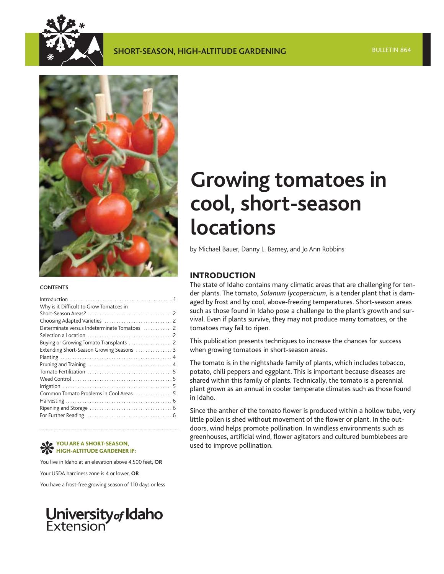

### **SHORT-SEASON, HIGH-ALTITUDE GARDENING**



#### **CONTENTS**

| Why is it Difficult to Grow Tomatoes in      |  |
|----------------------------------------------|--|
|                                              |  |
|                                              |  |
| Determinate versus Indeterminate Tomatoes  2 |  |
|                                              |  |
|                                              |  |
| Extending Short-Season Growing Seasons  3    |  |
|                                              |  |
|                                              |  |
|                                              |  |
|                                              |  |
|                                              |  |
| Common Tomato Problems in Cool Areas  5      |  |
|                                              |  |
|                                              |  |
|                                              |  |
|                                              |  |

### **HIGH-ALTITUDE GARDENER IF:**

You live in Idaho at an elevation above 4,500 feet, **OR**

Your USDA hardiness zone is 4 or lower, **OR**

You have a frost-free growing season of 110 days or less

# **University of Idaho**<br>Extension

## **Growing tomatoes in cool, short-season locations**

by Michael Bauer, Danny L. Barney, and Jo Ann Robbins

#### **INTRODUCTION**

The state of Idaho contains many climatic areas that are challenging for tender plants. The tomato, *Solanum lycopersicum*, is a tender plant that is damaged by frost and by cool, above-freezing temperatures. Short-season areas such as those found in Idaho pose a challenge to the plant's growth and survival. Even if plants survive, they may not produce many tomatoes, or the tomatoes may fail to ripen.

This publication presents techniques to increase the chances for success when growing tomatoes in short-season areas.

The tomato is in the nightshade family of plants, which includes tobacco, potato, chili peppers and eggplant. This is important because diseases are shared within this family of plants. Technically, the tomato is a perennial plant grown as an annual in cooler temperate climates such as those found in Idaho.

Since the anther of the tomato flower is produced within a hollow tube, very little pollen is shed without movement of the flower or plant. In the outdoors, wind helps promote pollination. In windless environments such as greenhouses, artificial wind, flower agitators and cultured bumblebees are used to improve pollination. **YOU ARE A SHORT-SEASON,**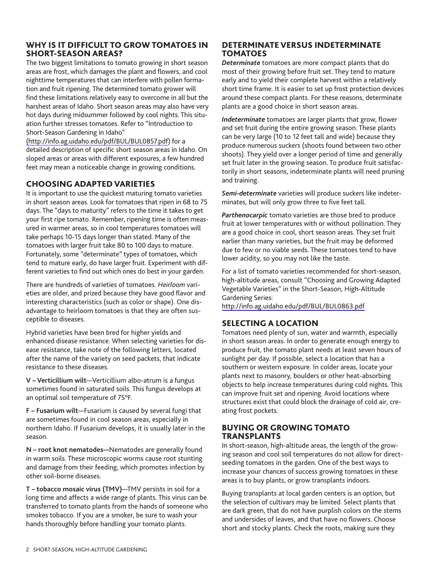#### <span id="page-1-0"></span>**WHY IS IT DIFFICULT TO GROW TOMATOES IN SHORT-SEASON AREAS?**

The two biggest limitations to tomato growing in short season areas are frost, which damages the plant and flowers, and cool nighttime temperatures that can interfere with pollen formation and fruit ripening. The determined tomato grower will find these limitations relatively easy to overcome in all but the harshest areas of Idaho. Short season areas may also have very hot days during midsummer followed by cool nights. This situation further stresses tomatoes. Refer to "Introduction to Short-Season Gardening in Idaho"

[\(http://info.ag.uidaho.edu/pdf/BUL/BUL0857.pdf\)](http://info.ag.uidaho.edu/pdf/BUL/BUL0857.pdf) for a detailed description of specific short season areas in Idaho. On sloped areas or areas with different exposures, a few hundred feet may mean a noticeable change in growing conditions.

#### **CHOOSING ADAPTED VARIETIES**

It is important to use the quickest maturing tomato varieties in short season areas. Look for tomatoes that ripen in 68 to 75 days. The "days to maturity" refers to the time it takes to get your first ripe tomato. Remember, ripening time is often measured in warmer areas, so in cool temperatures tomatoes will take perhaps 10-15 days longer than stated. Many of the tomatoes with larger fruit take 80 to 100 days to mature. Fortunately, some "determinate" types of tomatoes, which tend to mature early, do have larger fruit. Experiment with different varieties to find out which ones do best in your garden.

There are hundreds of varieties of tomatoes. *Heirloom* varieties are older, and prized because they have good flavor and interesting characteristics (such as color or shape). One disadvantage to heirloom tomatoes is that they are often susceptible to diseases.

Hybrid varieties have been bred for higher yields and enhanced disease resistance. When selecting varieties for disease resistance, take note of the following letters, located after the name of the variety on seed packets, that indicate resistance to these diseases.

**V – Verticillium wilt**—Verticillium albo-atrum is a fungus sometimes found in saturated soils. This fungus develops at an optimal soil temperature of 75°F.

**F – Fusarium wilt**—Fusarium is caused by several fungi that are sometimes found in cool season areas, especially in northern Idaho. If Fusarium develops, it is usually later in the season.

**N – root knot nematodes—**Nematodes are generally found in warm soils. These microscopic worms cause root stunting and damage from their feeding, which promotes infection by other soil-borne diseases.

**T – tobacco mosaic virus (TMV)**—TMV persists in soil for a long time and affects a wide range of plants. This virus can be transferred to tomato plants from the hands of someone who smokes tobacco. If you are a smoker, be sure to wash your hands thoroughly before handling your tomato plants.

### **DETERMINATE VERSUS INDETERMINATE TOMATOES**

*Determinate* tomatoes are more compact plants that do most of their growing before fruit set. They tend to mature early and to yield their complete harvest within a relatively short time frame. It is easier to set up frost protection devices around these compact plants. For these reasons, determinate plants are a good choice in short season areas.

*Indeterminate* tomatoes are larger plants that grow, flower and set fruit during the entire growing season. These plants can be very large (10 to 12 feet tall and wide) because they produce numerous suckers (shoots found between two other shoots). They yield over a longer period of time and generally set fruit later in the growing season. To produce fruit satisfactorily in short seasons, indeterminate plants will need pruning and training.

*Semi-determinate* varieties will produce suckers like indeterminates, but will only grow three to five feet tall.

*Parthenocarpic* tomato varieties are those bred to produce fruit at lower temperatures with or without pollination. They are a good choice in cool, short season areas. They set fruit earlier than many varieties, but the fruit may be deformed due to few or no viable seeds. These tomatoes tend to have lower acidity, so you may not like the taste.

For a list of tomato varieties recommended for short-season, high-altitude areas, consult "Choosing and Growing Adapted Vegetable Varieties" in the Short-Season, High-Altitude Gardening Series:

<http://info.ag.uidaho.edu/pdf/BUL/BUL0863.pdf>

#### **SELECTING A LOCATION**

Tomatoes need plenty of sun, water and warmth, especially in short season areas. In order to generate enough energy to produce fruit, the tomato plant needs at least seven hours of sunlight per day. If possible, select a location that has a southern or western exposure. In colder areas, locate your plants next to masonry, boulders or other heat-absorbing objects to help increase temperatures during cold nights. This can improve fruit set and ripening. Avoid locations where structures exist that could block the drainage of cold air, creating frost pockets.

#### **BUYING OR GROWING TOMATO TRANSPLANTS**

In short-season, high-altitude areas, the length of the growing season and cool soil temperatures do not allow for directseeding tomatoes in the garden. One of the best ways to increase your chances of success growing tomatoes in these areas is to buy plants, or grow transplants indoors.

Buying transplants at local garden centers is an option, but the selection of cultivars may be limited. Select plants that are dark green, that do not have purplish colors on the stems and undersides of leaves, and that have no flowers. Choose short and stocky plants. Check the roots, making sure they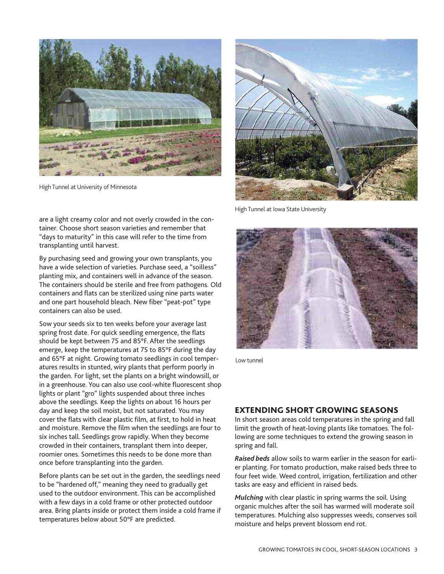<span id="page-2-0"></span>

High Tunnel at University of Minnesota

are a light creamy color and not overly crowded in the container. Choose short season varieties and remember that "days to maturity" in this case will refer to the time from transplanting until harvest.

By purchasing seed and growing your own transplants, you have a wide selection of varieties. Purchase seed, a "soilless" planting mix, and containers well in advance of the season. The containers should be sterile and free from pathogens. Old containers and flats can be sterilized using nine parts water and one part household bleach. New fiber "peat-pot" type containers can also be used.

Sow your seeds six to ten weeks before your average last spring frost date. For quick seedling emergence, the flats should be kept between 75 and 85°F. After the seedlings emerge, keep the temperatures at 75 to 85°F during the day and 65°F at night. Growing tomato seedlings in cool temperatures results in stunted, wiry plants that perform poorly in the garden. For light, set the plants on a bright windowsill, or in a greenhouse. You can also use cool-white fluorescent shop lights or plant "gro" lights suspended about three inches above the seedlings. Keep the lights on about 16 hours per day and keep the soil moist, but not saturated. You may cover the flats with clear plastic film, at first, to hold in heat and moisture. Remove the film when the seedlings are four to six inches tall. Seedlings grow rapidly. When they become crowded in their containers, transplant them into deeper, roomier ones. Sometimes this needs to be done more than once before transplanting into the garden.

Before plants can be set out in the garden, the seedlings need to be "hardened off," meaning they need to gradually get used to the outdoor environment. This can be accomplished with a few days in a cold frame or other protected outdoor area. Bring plants inside or protect them inside a cold frame if temperatures below about 50°F are predicted.



High Tunnel at Iowa State University



Low tunnel

#### **EXTENDING SHORT GROWING SEASONS**

In short season areas cold temperatures in the spring and fall limit the growth of heat-loving plants like tomatoes. The following are some techniques to extend the growing season in spring and fall.

*Raised beds* allow soils to warm earlier in the season for earlier planting. For tomato production, make raised beds three to four feet wide. Weed control, irrigation, fertilization and other tasks are easy and efficient in raised beds.

*Mulching* with clear plastic in spring warms the soil. Using organic mulches after the soil has warmed will moderate soil temperatures. Mulching also suppresses weeds, conserves soil moisture and helps prevent blossom end rot.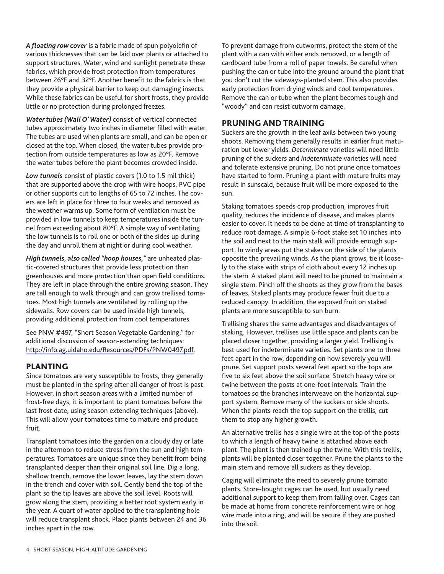<span id="page-3-0"></span>*A floating row cover* is a fabric made of spun polyolefin of various thicknesses that can be laid over plants or attached to support structures. Water, wind and sunlight penetrate these fabrics, which provide frost protection from temperatures between 26°F and 32°F. Another benefit to the fabrics is that they provide a physical barrier to keep out damaging insects. While these fabrics can be useful for short frosts, they provide little or no protection during prolonged freezes.

*Water tubes (Wall O' Water)* consist of vertical connected tubes approximately two inches in diameter filled with water. The tubes are used when plants are small, and can be open or closed at the top. When closed, the water tubes provide protection from outside temperatures as low as 20°F. Remove the water tubes before the plant becomes crowded inside.

*Low tunnels* consist of plastic covers (1.0 to 1.5 mil thick) that are supported above the crop with wire hoops, PVC pipe or other supports cut to lengths of 65 to 72 inches. The covers are left in place for three to four weeks and removed as the weather warms up. Some form of ventilation must be provided in low tunnels to keep temperatures inside the tunnel from exceeding about 80°F. A simple way of ventilating the low tunnels is to roll one or both of the sides up during the day and unroll them at night or during cool weather.

*High tunnels, also called "hoop houses,"* are unheated plastic-covered structures that provide less protection than greenhouses and more protection than open field conditions. They are left in place through the entire growing season. They are tall enough to walk through and can grow trellised tomatoes. Most high tunnels are ventilated by rolling up the sidewalls. Row covers can be used inside high tunnels, providing additional protection from cool temperatures.

See PNW #497, "Short Season Vegetable Gardening," for additional discussion of season-extending techniques: [http://info.ag.uidaho.edu/Resources/PDFs/PNW0497.pdf.](http://info.ag.uidaho.edu/Resources/PDFs/PNW0497.pdf)

#### **PLANTING**

Since tomatoes are very susceptible to frosts, they generally must be planted in the spring after all danger of frost is past. However, in short season areas with a limited number of frost-free days, it is important to plant tomatoes before the last frost date, using season extending techniques (above). This will allow your tomatoes time to mature and produce fruit.

Transplant tomatoes into the garden on a cloudy day or late in the afternoon to reduce stress from the sun and high temperatures. Tomatoes are unique since they benefit from being transplanted deeper than their original soil line. Dig a long, shallow trench, remove the lower leaves, lay the stem down in the trench and cover with soil. Gently bend the top of the plant so the tip leaves are above the soil level. Roots will grow along the stem, providing a better root system early in the year. A quart of water applied to the transplanting hole will reduce transplant shock. Place plants between 24 and 36 inches apart in the row.

To prevent damage from cutworms, protect the stem of the plant with a can with either ends removed, or a length of cardboard tube from a roll of paper towels. Be careful when pushing the can or tube into the ground around the plant that you don't cut the sideways-planted stem. This also provides early protection from drying winds and cool temperatures. Remove the can or tube when the plant becomes tough and "woody" and can resist cutworm damage.

#### **PRUNING AND TRAINING**

Suckers are the growth in the leaf axils between two young shoots. Removing them generally results in earlier fruit maturation but lower yields. *Determinate* varieties will need little pruning of the suckers and *indeterminate* varieties will need and tolerate extensive pruning. Do not prune once tomatoes have started to form. Pruning a plant with mature fruits may result in sunscald, because fruit will be more exposed to the sun.

Staking tomatoes speeds crop production, improves fruit quality, reduces the incidence of disease, and makes plants easier to cover. It needs to be done at time of transplanting to reduce root damage. A simple 6-foot stake set 10 inches into the soil and next to the main stalk will provide enough support. In windy areas put the stakes on the side of the plants opposite the prevailing winds. As the plant grows, tie it loosely to the stake with strips of cloth about every 12 inches up the stem. A staked plant will need to be pruned to maintain a single stem. Pinch off the shoots as they grow from the bases of leaves. Staked plants may produce fewer fruit due to a reduced canopy. In addition, the exposed fruit on staked plants are more susceptible to sun burn.

Trellising shares the same advantages and disadvantages of staking. However, trellises use little space and plants can be placed closer together, providing a larger yield. Trellising is best used for indeterminate varieties. Set plants one to three feet apart in the row, depending on how severely you will prune. Set support posts several feet apart so the tops are five to six feet above the soil surface. Stretch heavy wire or twine between the posts at one-foot intervals. Train the tomatoes so the branches interweave on the horizontal support system. Remove many of the suckers or side shoots. When the plants reach the top support on the trellis, cut them to stop any higher growth.

An alternative trellis has a single wire at the top of the posts to which a length of heavy twine is attached above each plant. The plant is then trained up the twine. With this trellis, plants will be planted closer together. Prune the plants to the main stem and remove all suckers as they develop.

Caging will eliminate the need to severely prune tomato plants. Store-bought cages can be used, but usually need additional support to keep them from falling over. Cages can be made at home from concrete reinforcement wire or hog wire made into a ring, and will be secure if they are pushed into the soil.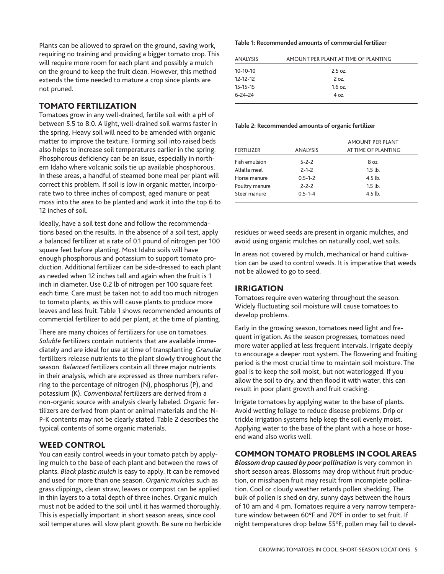<span id="page-4-0"></span>Plants can be allowed to sprawl on the ground, saving work, requiring no training and providing a bigger tomato crop. This will require more room for each plant and possibly a mulch on the ground to keep the fruit clean. However, this method extends the time needed to mature a crop since plants are not pruned.

#### **TOMATO FERTILIZATION**

Tomatoes grow in any well-drained, fertile soil with a pH of between 5.5 to 8.0. A light, well-drained soil warms faster in the spring. Heavy soil will need to be amended with organic matter to improve the texture. Forming soil into raised beds also helps to increase soil temperatures earlier in the spring. Phosphorous deficiency can be an issue, especially in northern Idaho where volcanic soils tie up available phosphorous. In these areas, a handful of steamed bone meal per plant will correct this problem. If soil is low in organic matter, incorporate two to three inches of compost, aged manure or peat moss into the area to be planted and work it into the top 6 to 12 inches of soil.

Ideally, have a soil test done and follow the recommendations based on the results. In the absence of a soil test, apply a balanced fertilizer at a rate of 0.1 pound of nitrogen per 100 square feet before planting. Most Idaho soils will have enough phosphorous and potassium to support tomato production. Additional fertilizer can be side-dressed to each plant as needed when 12 inches tall and again when the fruit is 1 inch in diameter. Use 0.2 lb of nitrogen per 100 square feet each time. Care must be taken not to add too much nitrogen to tomato plants, as this will cause plants to produce more leaves and less fruit. Table 1 shows recommended amounts of commercial fertilizer to add per plant, at the time of planting.

There are many choices of fertilizers for use on tomatoes. *Soluble* fertilizers contain nutrients that are available immediately and are ideal for use at time of transplanting. *Granular* fertilizers release nutrients to the plant slowly throughout the season. *Balanced* fertilizers contain all three major nutrients in their analysis, which are expressed as three numbers referring to the percentage of nitrogen (N), phosphorus (P), and potassium (K). *Conventional* fertilizers are derived from a non-organic source with analysis clearly labeled. *Organic* fertilizers are derived from plant or animal materials and the N-P-K contents may not be clearly stated. Table 2 describes the typical contents of some organic materials.

#### **WEED CONTROL**

You can easily control weeds in your tomato patch by applying mulch to the base of each plant and between the rows of plants. *Black plastic mulch* is easy to apply. It can be removed and used for more than one season. *Organic mulches* such as grass clippings, clean straw, leaves or compost can be applied in thin layers to a total depth of three inches. Organic mulch must not be added to the soil until it has warmed thoroughly. This is especially important in short season areas, since cool soil temperatures will slow plant growth. Be sure no herbicide

#### **Table 1: Recommended amounts of commercial fertilizer**

| <b>ANALYSIS</b> | AMOUNT PER PLANT AT TIME OF PLANTING |  |
|-----------------|--------------------------------------|--|
| $10-10-10$      | $2.5$ oz.                            |  |
| $12 - 12 - 12$  | 2 oz.                                |  |
| $15 - 15 - 15$  | $1.6$ oz.                            |  |
| $6 - 24 - 24$   | 4 oz.                                |  |
|                 |                                      |  |

#### **Table 2: Recommended amounts of organic fertilizer**

| <b>FERTILIZER</b> | <b>ANALYSIS</b> | <b>AMOUNT PER PLANT</b><br>AT TIME OF PLANTING |
|-------------------|-----------------|------------------------------------------------|
| Fish emulsion     | $5 - 2 - 2$     | 8 oz.                                          |
| Alfalfa meal      | $2 - 1 - 2$     | $1.5$ lb.                                      |
| Horse manure      | $0.5 - 1 - 2$   | $4.5$ lb.                                      |
| Poultry manure    | $2 - 2 - 2$     | 1.5 <sub>lb</sub>                              |
| Steer manure      | $0.5 - 1 - 4$   | $4.5$ lb.                                      |

residues or weed seeds are present in organic mulches, and avoid using organic mulches on naturally cool, wet soils.

In areas not covered by mulch, mechanical or hand cultivation can be used to control weeds. It is imperative that weeds not be allowed to go to seed.

#### **IRRIGATION**

Tomatoes require even watering throughout the season. Widely fluctuating soil moisture will cause tomatoes to develop problems.

Early in the growing season, tomatoes need light and frequent irrigation. As the season progresses, tomatoes need more water applied at less frequent intervals. Irrigate deeply to encourage a deeper root system. The flowering and fruiting period is the most crucial time to maintain soil moisture. The goal is to keep the soil moist, but not waterlogged. If you allow the soil to dry, and then flood it with water, this can result in poor plant growth and fruit cracking.

Irrigate tomatoes by applying water to the base of plants. Avoid wetting foliage to reduce disease problems. Drip or trickle irrigation systems help keep the soil evenly moist. Applying water to the base of the plant with a hose or hoseend wand also works well.

#### **COMMON TOMATO PROBLEMS IN COOL AREAS**

*Blossom drop caused by poor pollination* is very common in short season areas. Blossoms may drop without fruit production, or misshapen fruit may result from incomplete pollination. Cool or cloudy weather retards pollen shedding. The bulk of pollen is shed on dry, sunny days between the hours of 10 am and 4 pm. Tomatoes require a very narrow temperature window between 60°F and 70°F in order to set fruit. If night temperatures drop below 55°F, pollen may fail to devel-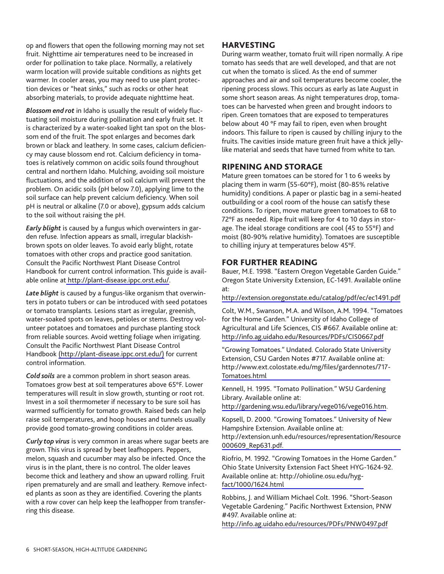<span id="page-5-0"></span>op and flowers that open the following morning may not set fruit. Nighttime air temperatures need to be increased in order for pollination to take place. Normally, a relatively warm location will provide suitable conditions as nights get warmer. In cooler areas, you may need to use plant protection devices or "heat sinks," such as rocks or other heat absorbing materials, to provide adequate nighttime heat.

*Blossom end rot* in Idaho is usually the result of widely fluctuating soil moisture during pollination and early fruit set. It is characterized by a water-soaked light tan spot on the blossom end of the fruit. The spot enlarges and becomes dark brown or black and leathery. In some cases, calcium deficiency may cause blossom end rot. Calcium deficiency in tomatoes is relatively common on acidic soils found throughout central and northern Idaho. Mulching, avoiding soil moisture fluctuations, and the addition of soil calcium will prevent the problem. On acidic soils (pH below 7.0), applying lime to the soil surface can help prevent calcium deficiency. When soil pH is neutral or alkaline (7.0 or above), gypsum adds calcium to the soil without raising the pH.

*Early blight* is caused by a fungus which overwinters in garden refuse. Infection appears as small, irregular blackishbrown spots on older leaves. To avoid early blight, rotate tomatoes with other crops and practice good sanitation. Consult the Pacific Northwest Plant Disease Control Handbook for current control information. This guide is available online a[t http://plant-disease.ippc.orst.edu/](http://plant-disease.ippc.orst.edu/).

*Late blight* is caused by a fungus-like organism that overwinters in potato tubers or can be introduced with seed potatoes or tomato transplants. Lesions start as irregular, greenish, water-soaked spots on leaves, petioles or stems. Destroy volunteer potatoes and tomatoes and purchase planting stock from reliable sources. Avoid wetting foliage when irrigating. Consult the Pacific Northwest Plant Disease Control Handbook [\(http://plant-disease.ippc.orst.edu/\)](http://plant-disease.ippc.orst.edu/) for current control information.

*Cold soils* are a common problem in short season areas. Tomatoes grow best at soil temperatures above 65°F. Lower temperatures will result in slow growth, stunting or root rot. Invest in a soil thermometer if necessary to be sure soil has warmed sufficiently for tomato growth. Raised beds can help raise soil temperatures, and hoop houses and tunnels usually provide good tomato-growing conditions in colder areas.

*Curly top virus* is very common in areas where sugar beets are grown. This virus is spread by beet leafhoppers. Peppers, melon, squash and cucumber may also be infected. Once the virus is in the plant, there is no control. The older leaves become thick and leathery and show an upward rolling. Fruit ripen prematurely and are small and leathery. Remove infected plants as soon as they are identified. Covering the plants with a row cover can help keep the leafhopper from transferring this disease.

#### **HARVESTING**

During warm weather, tomato fruit will ripen normally. A ripe tomato has seeds that are well developed, and that are not cut when the tomato is sliced. As the end of summer approaches and air and soil temperatures become cooler, the ripening process slows. This occurs as early as late August in some short season areas. As night temperatures drop, tomatoes can be harvested when green and brought indoors to ripen. Green tomatoes that are exposed to temperatures below about 40 °F may fail to ripen, even when brought indoors. This failure to ripen is caused by chilling injury to the fruits. The cavities inside mature green fruit have a thick jellylike material and seeds that have turned from white to tan.

#### **RIPENING AND STORAGE**

Mature green tomatoes can be stored for 1 to 6 weeks by placing them in warm (55-60°F), moist (80-85% relative humidity) conditions. A paper or plastic bag in a semi-heated outbuilding or a cool room of the house can satisfy these conditions. To ripen, move mature green tomatoes to 68 to 72°F as needed. Ripe fruit will keep for 4 to 10 days in storage. The ideal storage conditions are cool (45 to 55°F) and moist (80-90% relative humidity). Tomatoes are susceptible to chilling injury at temperatures below 45°F.

#### **FOR FURTHER READING**

Bauer, M.E. 1998. "Eastern Oregon Vegetable Garden Guide." Oregon State University Extension, EC-1491. Available online at:

<http://extension.oregonstate.edu/catalog/pdf/ec/ec1491.pdf>

Colt, W.M., Swanson, M.A. and Wilson, A.M. 1994. "Tomatoes for the Home Garden." University of Idaho College of Agricultural and Life Sciences, CIS #667. Available online at: <http://info.ag.uidaho.edu/Resources/PDFs/CIS0667.pdf>

"Growing Tomatoes." Undated. Colorado State University Extension, CSU Garden Notes #717. Available online at: [http://www.ext.colostate.edu/mg/files/gardennotes/717-](http://www.ext.colostate.edu/mg/gardennotes/717-Tomatoes.html) Tomatoes.html

Kennell, H. 1995. "Tomato Pollination." WSU Gardening Library. Available online at:

[http://gardening.wsu.edu/library/vege016/vege016.htm.](http://gardening.wsu.edu/library/vege016/vege016.htm)

Kopsell, D. 2000. "Growing Tomatoes." University of New Hampshire Extension. Available online at: [http://extension.unh.edu/resources/representation/Resource](http://extension.unh.edu/resources/files/Resource000609_Rep631.pdf) 000609\_Rep631.pdf.

Riofrio, M. 1992. "Growing Tomatoes in the Home Garden." Ohio State University Extension Fact Sheet HYG-1624-92. [Available online at: http://ohioline.osu.edu/hyg](http://ohioline.osu.edu/hyg-fact/1000/1624.html)fact/1000/1624.html

Robbins, J. and William Michael Colt. 1996. "Short-Season Vegetable Gardening." Pacific Northwest Extension, PNW #497. Available online at:

<http://info.ag.uidaho.edu/resources/PDFs/PNW0497.pdf>